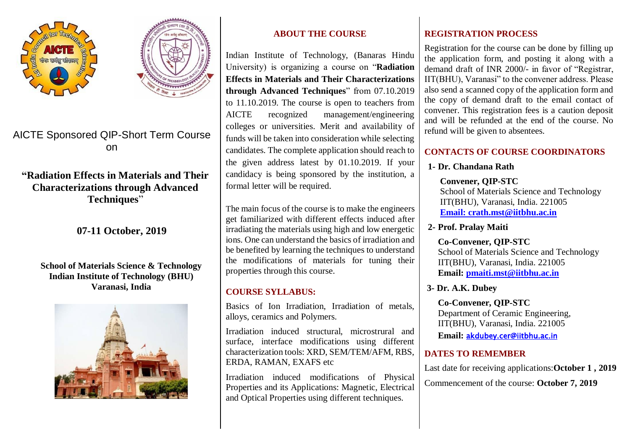



# AICTE Sponsored QIP-Short Term Course on

## **"Radiation Effects in Materials and Their Characterizations through Advanced Techniques**"

**07-11 October, 2019**

#### **School of Materials Science & Technology Indian Institute of Technology (BHU) Varanasi, India**



## **ABOUT THE COURSE**

Indian Institute of Technology, (Banaras Hindu University) is organizing a course on "**Radiation Effects in Materials and Their Characterizations through Advanced Techniques**" from 07.10.2019 to 11.10.2019. The course is open to teachers from AICTE recognized management/engineering colleges or universities. Merit and availability of funds will be taken into consideration while selecting candidates. The complete application should reach to the given address latest by 01.10.2019. If your candidacy is being sponsored by the institution, a formal letter will be required.

The main focus of the course is to make the engineers get familiarized with different effects induced after irradiating the materials using high and low energetic ions. One can understand the basics of irradiation and be benefited by learning the techniques to understand the modifications of materials for tuning their properties through this course.

### **COURSE SYLLABUS:**

Basics of Ion Irradiation, Irradiation of metals, alloys, ceramics and Polymers.

Irradiation induced structural, microstrural and surface, interface modifications using different characterization tools: XRD, SEM/TEM/AFM, RBS, ERDA, RAMAN, EXAFS etc

Irradiation induced modifications of Physical Properties and its Applications: Magnetic, Electrical and Optical Properties using different techniques.

### **REGISTRATION PROCESS**

Registration for the course can be done by filling up the application form, and posting it along with a demand draft of INR 2000/- in favor of "Registrar, IIT(BHU), Varanasi" to the convener address. Please also send a scanned copy of the application form and the copy of demand draft to the email contact of convener. This registration fees is a caution deposit and will be refunded at the end of the course. No refund will be given to absentees.

### **CONTACTS OF COURSE COORDINATORS**

### **1- Dr. Chandana Rath**

**Convener, QIP-STC**

School of Materials Science and Technology IIT(BHU), Varanasi, India. 221005 **[Email: crath.mst@iitbhu.ac.in](mailto:Email:%20crath.mst@iitbhu.ac.in)**

**2- Prof. Pralay Maiti**

**Co-Convener, QIP-STC** School of Materials Science and Technology IIT(BHU), Varanasi, India. 221005 **Email: [pmaiti.mst@iitbhu.ac.in](mailto:pmaiti.mst@iitbhu.ac.in)**

**3- Dr. A.K. Dubey**

**Co-Convener, QIP-STC** Department of Ceramic Engineering, IIT(BHU), Varanasi, India. 221005

**Email:** [akdubey.cer@iitbhu.ac.in](mailto:akdubey.cer@iitbhu.ac.in) 

### **DATES TO REMEMBER**

Last date for receiving applications:**October 1 , 2019** Commencement of the course: **October 7, 2019**